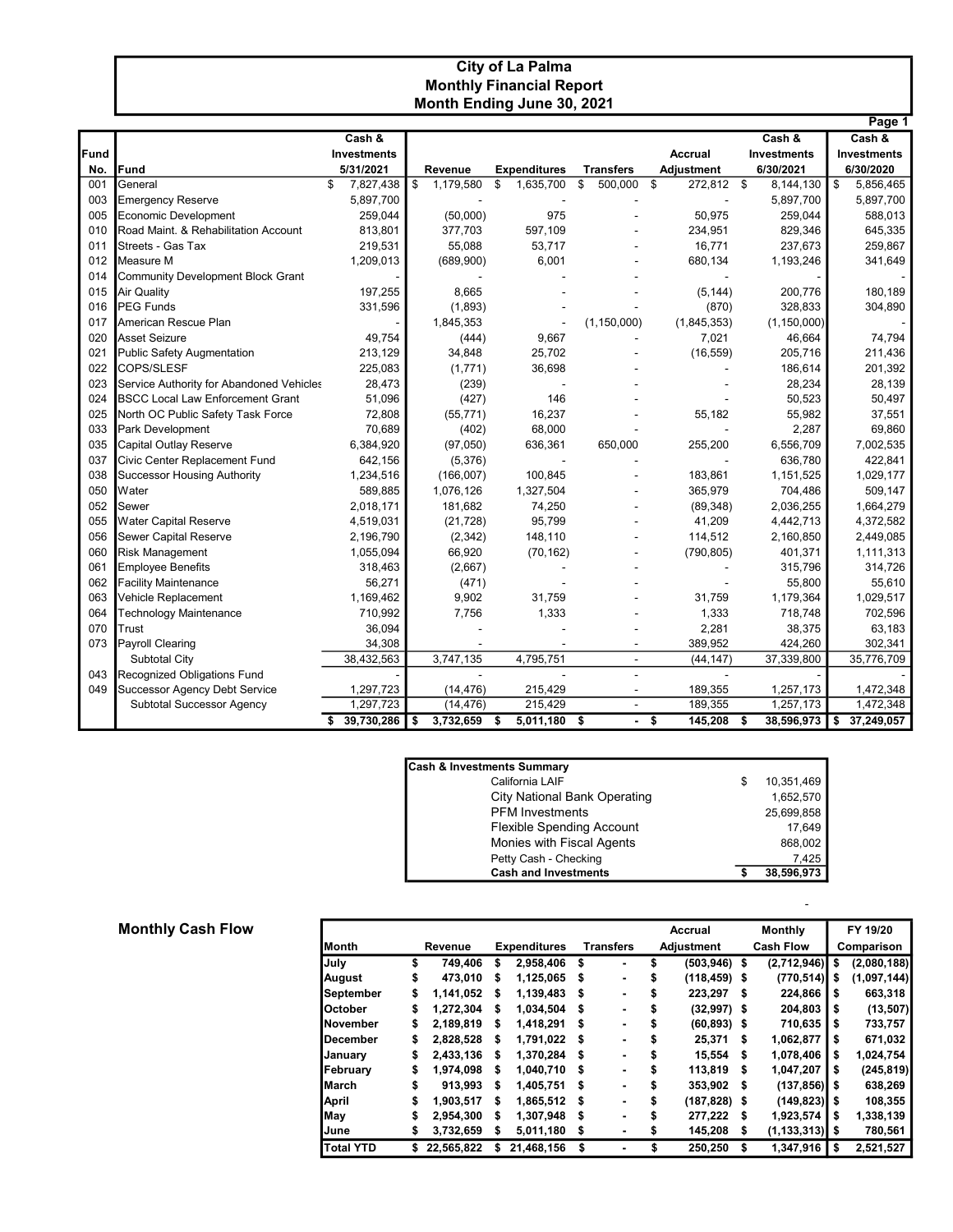## City of La Palma Monthly Financial Report Month Ending June 30, 2021

|      |                                          |                       |         |           |                     |                          |     |                   |    |                    |      | Page 1             |
|------|------------------------------------------|-----------------------|---------|-----------|---------------------|--------------------------|-----|-------------------|----|--------------------|------|--------------------|
|      |                                          | Cash &                |         |           |                     |                          |     |                   |    | Cash &             |      | Cash &             |
| Fund |                                          | <b>Investments</b>    |         |           |                     |                          |     | Accrual           |    | <b>Investments</b> |      | <b>Investments</b> |
| No.  | <b>Fund</b>                              | 5/31/2021             | Revenue |           | <b>Expenditures</b> | <b>Transfers</b>         |     | <b>Adjustment</b> |    | 6/30/2021          |      | 6/30/2020          |
| 001  | General                                  | \$<br>7,827,438       | \$      | 1,179,580 | \$<br>1,635,700     | \$<br>500,000            | -\$ | 272,812 \$        |    | 8,144,130          | \$   | 5,856,465          |
| 003  | <b>Emergency Reserve</b>                 | 5,897,700             |         |           |                     |                          |     |                   |    | 5,897,700          |      | 5,897,700          |
| 005  | <b>Economic Development</b>              | 259,044               |         | (50,000)  | 975                 |                          |     | 50,975            |    | 259,044            |      | 588,013            |
| 010  | Road Maint. & Rehabilitation Account     | 813,801               |         | 377,703   | 597,109             |                          |     | 234,951           |    | 829,346            |      | 645,335            |
| 011  | Streets - Gas Tax                        | 219,531               |         | 55,088    | 53,717              |                          |     | 16,771            |    | 237,673            |      | 259,867            |
| 012  | Measure M                                | 1,209,013             |         | (689,900) | 6,001               |                          |     | 680,134           |    | 1,193,246          |      | 341,649            |
| 014  | <b>Community Development Block Grant</b> |                       |         |           |                     |                          |     |                   |    |                    |      |                    |
| 015  | Air Quality                              | 197,255               |         | 8,665     |                     |                          |     | (5, 144)          |    | 200,776            |      | 180,189            |
| 016  | <b>PEG Funds</b>                         | 331,596               |         | (1,893)   |                     |                          |     | (870)             |    | 328,833            |      | 304,890            |
| 017  | American Rescue Plan                     |                       |         | 1,845,353 |                     | (1, 150, 000)            |     | (1,845,353)       |    | (1, 150, 000)      |      |                    |
| 020  | <b>Asset Seizure</b>                     | 49,754                |         | (444)     | 9,667               |                          |     | 7,021             |    | 46,664             |      | 74,794             |
| 021  | <b>Public Safety Augmentation</b>        | 213,129               |         | 34,848    | 25,702              |                          |     | (16, 559)         |    | 205,716            |      | 211,436            |
| 022  | COPS/SLESF                               | 225,083               |         | (1,771)   | 36,698              |                          |     |                   |    | 186,614            |      | 201,392            |
| 023  | Service Authority for Abandoned Vehicles | 28,473                |         | (239)     |                     |                          |     |                   |    | 28,234             |      | 28,139             |
| 024  | <b>BSCC Local Law Enforcement Grant</b>  | 51,096                |         | (427)     | 146                 |                          |     |                   |    | 50,523             |      | 50,497             |
| 025  | North OC Public Safety Task Force        | 72,808                |         | (55, 771) | 16,237              |                          |     | 55,182            |    | 55,982             |      | 37,551             |
| 033  | Park Development                         | 70,689                |         | (402)     | 68,000              |                          |     |                   |    | 2,287              |      | 69,860             |
| 035  | Capital Outlay Reserve                   | 6,384,920             |         | (97,050)  | 636,361             | 650,000                  |     | 255,200           |    | 6,556,709          |      | 7,002,535          |
| 037  | Civic Center Replacement Fund            | 642,156               |         | (5,376)   |                     |                          |     |                   |    | 636,780            |      | 422,841            |
| 038  | <b>Successor Housing Authority</b>       | 1,234,516             |         | (166,007) | 100,845             |                          |     | 183,861           |    | 1,151,525          |      | 1,029,177          |
| 050  | Water                                    | 589,885               |         | 1,076,126 | 1,327,504           |                          |     | 365,979           |    | 704,486            |      | 509,147            |
| 052  | Sewer                                    | 2,018,171             |         | 181.682   | 74,250              |                          |     | (89, 348)         |    | 2,036,255          |      | 1,664,279          |
| 055  | <b>Water Capital Reserve</b>             | 4,519,031             |         | (21, 728) | 95,799              |                          |     | 41,209            |    | 4,442,713          |      | 4,372,582          |
| 056  | Sewer Capital Reserve                    | 2,196,790             |         | (2, 342)  | 148,110             |                          |     | 114,512           |    | 2,160,850          |      | 2,449,085          |
| 060  | Risk Management                          | 1,055,094             |         | 66,920    | (70, 162)           |                          |     | (790, 805)        |    | 401,371            |      | 1,111,313          |
| 061  | <b>Employee Benefits</b>                 | 318,463               |         | (2,667)   |                     |                          |     |                   |    | 315,796            |      | 314,726            |
| 062  | <b>Facility Maintenance</b>              | 56,271                |         | (471)     |                     |                          |     |                   |    | 55,800             |      | 55,610             |
| 063  | Vehicle Replacement                      | 1,169,462             |         | 9,902     | 31,759              |                          |     | 31,759            |    | 1,179,364          |      | 1,029,517          |
| 064  | <b>Technology Maintenance</b>            | 710,992               |         | 7,756     | 1,333               |                          |     | 1,333             |    | 718,748            |      | 702,596            |
| 070  | Trust                                    | 36,094                |         |           |                     |                          |     | 2,281             |    | 38,375             |      | 63,183             |
| 073  | <b>Payroll Clearing</b>                  | 34,308                |         |           |                     |                          |     | 389,952           |    | 424,260            |      | 302,341            |
|      | Subtotal City                            | 38,432,563            |         | 3,747,135 | 4,795,751           | $\overline{\phantom{a}}$ |     | (44, 147)         |    | 37,339,800         |      | 35,776,709         |
| 043  | Recognized Obligations Fund              |                       |         |           |                     |                          |     |                   |    |                    |      |                    |
| 049  | <b>Successor Agency Debt Service</b>     | 1,297,723             |         | (14, 476) | 215,429             |                          |     | 189,355           |    | 1,257,173          |      | 1,472,348          |
|      | <b>Subtotal Successor Agency</b>         | 1,297,723             |         | (14, 476) | 215,429             | $\blacksquare$           |     | 189,355           |    | 1,257,173          |      | 1,472,348          |
|      |                                          | $39,730,286$ \$<br>\$ |         | 3,732,659 | \$<br>5,011,180     | \$<br>$\blacksquare$     | \$  | 145,208           | -S | 38,596,973         | - \$ | 37,249,057         |

| <b>Cash &amp; Investments Summary</b> |                  |
|---------------------------------------|------------------|
| California LAIF                       | \$<br>10,351,469 |
| <b>City National Bank Operating</b>   | 1,652,570        |
| <b>PFM</b> Investments                | 25,699,858       |
| <b>Flexible Spending Account</b>      | 17,649           |
| Monies with Fiscal Agents             | 868,002          |
| Petty Cash - Checking                 | 7,425            |
| <b>Cash and Investments</b>           | \$<br>38,596,973 |

-

## **Monthly Cash Flow**

|                  |         |            |                     |              |                  |                |                   | Accrual         |      | <b>Monthly</b>     |            | FY 19/20    |  |  |
|------------------|---------|------------|---------------------|--------------|------------------|----------------|-------------------|-----------------|------|--------------------|------------|-------------|--|--|
| <b>IMonth</b>    | Revenue |            | <b>Expenditures</b> |              | <b>Transfers</b> |                | <b>Adjustment</b> |                 |      | <b>Cash Flow</b>   | Comparison |             |  |  |
| July             | \$      | 749.406    | S                   | 2,958,406    | S                |                | s                 | $(503, 946)$ \$ |      | (2,712,946)        | \$         | (2,080,188) |  |  |
| August           | \$      | 473,010    | S                   | 1,125,065 \$ |                  |                | S                 | $(118, 459)$ \$ |      | (770, 514)         | \$         | (1,097,144) |  |  |
| September        | \$      | 1,141,052  | S.                  | 1,139,483    | - \$             |                | \$                | 223,297         | -S   | 224,866            | s          | 663,318     |  |  |
| lOctober         | \$      | 1,272,304  | S                   | 1,034,504    | - 5              |                | \$                | $(32,997)$ \$   |      | 204,803            | S          | (13, 507)   |  |  |
| <b>November</b>  | \$      | 2,189,819  | S                   | 1,418,291    | S                | $\blacksquare$ | \$                | $(60, 893)$ \$  |      | 710,635            | s          | 733,757     |  |  |
| <b>IDecember</b> | \$      | 2,828,528  | S                   | 1,791,022 \$ |                  |                | \$                | 25,371          | - \$ | 1,062,877          | S          | 671,032     |  |  |
| January          | \$      | 2,433,136  | S                   | 1,370,284    | \$               |                | S                 | 15,554          | S.   | 1,078,406          | S          | 1,024,754   |  |  |
| February         | \$      | 1,974,098  | \$                  | 1,040,710 \$ |                  |                |                   | 113,819         | s    | 1,047,207          | s          | (245, 819)  |  |  |
| <b>IMarch</b>    | \$      | 913.993    | S                   | 1,405,751    | S                | $\blacksquare$ | S                 | 353,902         | S.   | $(137, 856)$ \$    |            | 638,269     |  |  |
| April            | \$      | 1,903,517  | S                   | 1,865,512    | 5                |                |                   | $(187, 828)$ \$ |      | $(149, 823)$ \$    |            | 108,355     |  |  |
| May              | \$      | 2,954,300  | s                   | 1,307,948    | S                |                |                   | 277,222         | - \$ | 1,923,574          | \$         | 1,338,139   |  |  |
| June             | \$      | 3,732,659  |                     | 5,011,180    | \$               |                | s                 | 145,208         | \$   | $(1, 133, 313)$ \$ |            | 780,561     |  |  |
| <b>Total YTD</b> | S       | 22.565.822 |                     | 21,468,156   | \$               | ٠              | \$                | 250,250         | \$   | 1,347,916          | S          | 2,521,527   |  |  |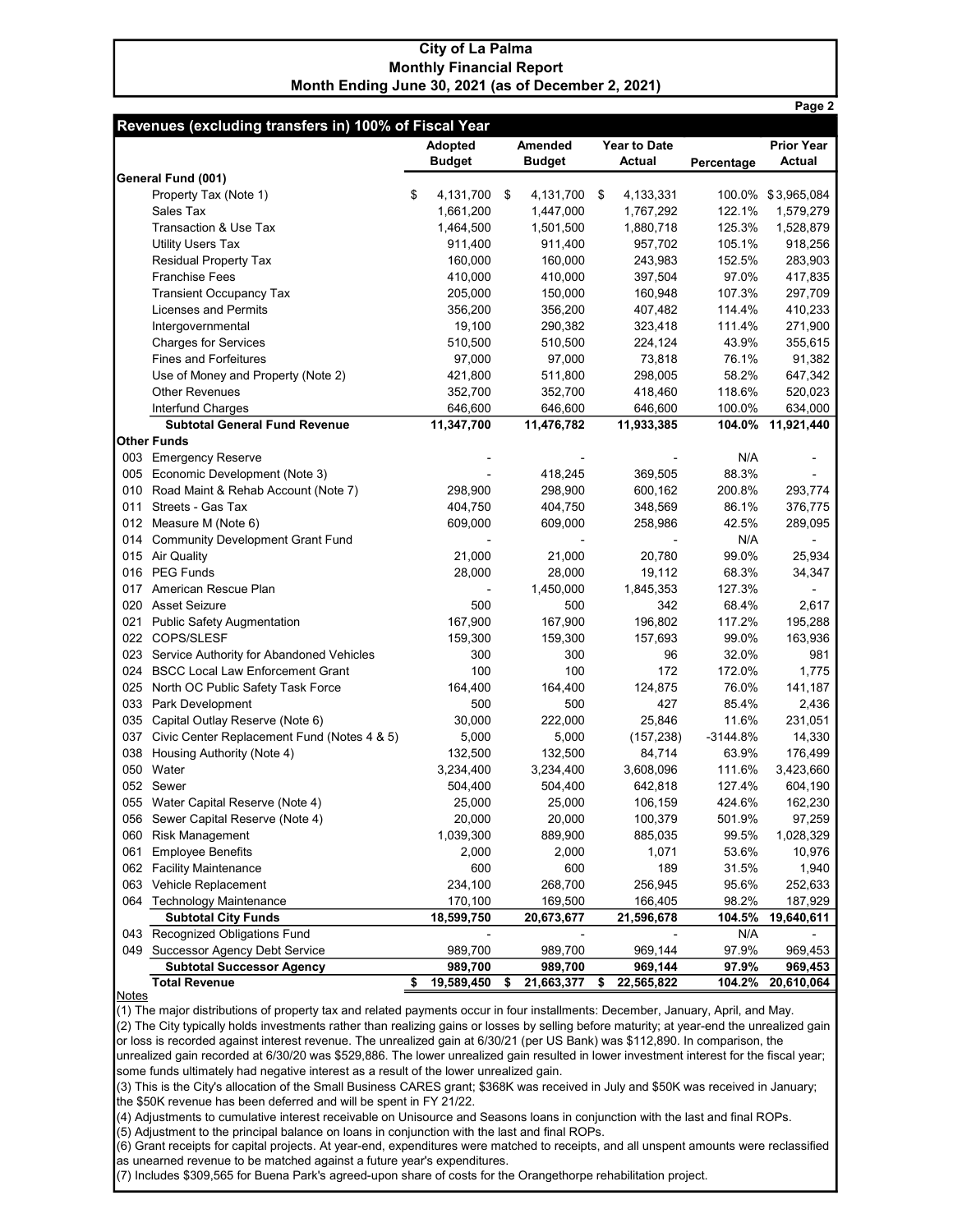## City of La Palma Monthly Financial Report Month Ending June 30, 2021 (as of December 2, 2021)

|     |                                                           |                    |                  |                     |            | Page 2            |
|-----|-----------------------------------------------------------|--------------------|------------------|---------------------|------------|-------------------|
|     | Revenues (excluding transfers in) 100% of Fiscal Year     |                    |                  |                     |            |                   |
|     |                                                           | Adopted            | Amended          | <b>Year to Date</b> |            | <b>Prior Year</b> |
|     |                                                           | <b>Budget</b>      | <b>Budget</b>    | <b>Actual</b>       | Percentage | <b>Actual</b>     |
|     | General Fund (001)                                        |                    |                  |                     |            |                   |
|     | Property Tax (Note 1)                                     | \$<br>4,131,700 \$ | 4,131,700        | \$<br>4,133,331     | 100.0%     | \$3,965,084       |
|     | Sales Tax                                                 | 1,661,200          | 1,447,000        | 1,767,292           | 122.1%     | 1,579,279         |
|     | Transaction & Use Tax                                     | 1,464,500          | 1,501,500        | 1,880,718           | 125.3%     | 1,528,879         |
|     | <b>Utility Users Tax</b>                                  | 911,400            | 911,400          | 957,702             | 105.1%     | 918,256           |
|     | <b>Residual Property Tax</b>                              | 160,000            | 160,000          | 243,983             | 152.5%     | 283,903           |
|     | <b>Franchise Fees</b>                                     | 410,000            | 410,000          | 397,504             | 97.0%      | 417,835           |
|     | <b>Transient Occupancy Tax</b>                            | 205,000            | 150,000          | 160,948             | 107.3%     | 297,709           |
|     | <b>Licenses and Permits</b>                               | 356,200            | 356,200          | 407,482             | 114.4%     | 410,233           |
|     | Intergovernmental                                         | 19,100             | 290,382          | 323,418             | 111.4%     | 271,900           |
|     | <b>Charges for Services</b>                               | 510,500            | 510,500          | 224,124             | 43.9%      | 355,615           |
|     | <b>Fines and Forfeitures</b>                              | 97,000             | 97,000           | 73,818              | 76.1%      | 91,382            |
|     |                                                           |                    |                  |                     |            |                   |
|     | Use of Money and Property (Note 2)                        | 421,800            | 511,800          | 298,005             | 58.2%      | 647,342           |
|     | <b>Other Revenues</b>                                     | 352,700            | 352,700          | 418,460             | 118.6%     | 520,023           |
|     | Interfund Charges<br><b>Subtotal General Fund Revenue</b> | 646,600            | 646,600          | 646,600             | 100.0%     | 634,000           |
|     | Other Funds                                               | 11,347,700         | 11,476,782       | 11,933,385          | 104.0%     | 11,921,440        |
|     | 003 Emergency Reserve                                     |                    |                  |                     | N/A        |                   |
|     | 005 Economic Development (Note 3)                         |                    | 418,245          | 369.505             | 88.3%      |                   |
|     |                                                           |                    |                  |                     |            |                   |
| 010 | Road Maint & Rehab Account (Note 7)                       | 298,900            | 298,900          | 600,162             | 200.8%     | 293,774           |
| 011 | Streets - Gas Tax                                         | 404,750            | 404,750          | 348,569             | 86.1%      | 376,775           |
|     | 012 Measure M (Note 6)                                    | 609,000            | 609,000          | 258,986             | 42.5%      | 289,095           |
|     | 014 Community Development Grant Fund                      |                    |                  |                     | N/A        |                   |
|     | 015 Air Quality                                           | 21,000             | 21,000           | 20,780              | 99.0%      | 25,934            |
|     | 016 PEG Funds                                             | 28,000             | 28,000           | 19,112              | 68.3%      | 34,347            |
|     | 017 American Rescue Plan                                  |                    | 1,450,000        | 1,845,353           | 127.3%     |                   |
|     | 020 Asset Seizure                                         | 500                | 500              | 342                 | 68.4%      | 2,617             |
|     | 021 Public Safety Augmentation                            | 167,900            | 167,900          | 196,802             | 117.2%     | 195,288           |
|     | 022 COPS/SLESF                                            | 159,300            | 159,300          | 157,693             | 99.0%      | 163,936           |
|     | 023 Service Authority for Abandoned Vehicles              | 300                | 300              | 96                  | 32.0%      | 981               |
|     | 024 BSCC Local Law Enforcement Grant                      | 100                | 100              | 172                 | 172.0%     | 1,775             |
|     | 025 North OC Public Safety Task Force                     | 164,400            | 164,400          | 124,875             | 76.0%      | 141,187           |
|     | 033 Park Development                                      | 500                | 500              | 427                 | 85.4%      | 2,436             |
|     | 035 Capital Outlay Reserve (Note 6)                       | 30,000             | 222,000          | 25,846              | 11.6%      | 231,051           |
|     | 037 Civic Center Replacement Fund (Notes 4 & 5)           | 5,000              | 5,000            | (157, 238)          | $-3144.8%$ | 14,330            |
| 038 | Housing Authority (Note 4)                                | 132,500            | 132,500          | 84,714              | 63.9%      | 176,499           |
|     | 050 Water                                                 | 3,234,400          | 3,234,400        | 3,608,096           | 111.6%     | 3,423,660         |
|     | 052 Sewer                                                 | 504,400            | 504,400          | 642,818             | 127.4%     | 604,190           |
| 055 | Water Capital Reserve (Note 4)                            | 25,000             | 25,000           | 106,159             | 424.6%     | 162,230           |
|     | 056 Sewer Capital Reserve (Note 4)                        | 20,000             | 20,000           | 100,379             | 501.9%     | 97,259            |
| 060 | <b>Risk Management</b>                                    | 1,039,300          | 889,900          | 885,035             | 99.5%      | 1,028,329         |
| 061 | <b>Employee Benefits</b>                                  | 2,000              | 2,000            | 1,071               | 53.6%      | 10,976            |
| 062 | <b>Facility Maintenance</b>                               | 600                | 600              | 189                 | 31.5%      | 1,940             |
|     | 063 Vehicle Replacement                                   | 234,100            | 268,700          | 256,945             | 95.6%      | 252,633           |
|     | 064 Technology Maintenance                                | 170,100            | 169,500          | 166,405             | 98.2%      | 187,929           |
|     | <b>Subtotal City Funds</b>                                | 18,599,750         | 20,673,677       | 21,596,678          | 104.5%     | 19,640,611        |
|     | 043 Recognized Obligations Fund                           |                    |                  |                     | N/A        |                   |
|     | 049 Successor Agency Debt Service                         | 989,700            | 989,700          | 969,144             | 97.9%      | 969,453           |
|     | <b>Subtotal Successor Agency</b>                          | 989,700            | 989,700          | 969,144             | 97.9%      | 969,453           |
|     | <b>Total Revenue</b>                                      | \$<br>19,589,450   | \$<br>21,663,377 | \$<br>22,565,822    | 104.2%     | 20,610,064        |

**Notes** 

(1) The major distributions of property tax and related payments occur in four installments: December, January, April, and May. (2) The City typically holds investments rather than realizing gains or losses by selling before maturity; at year-end the unrealized gain or loss is recorded against interest revenue. The unrealized gain at 6/30/21 (per US Bank) was \$112,890. In comparison, the unrealized gain recorded at 6/30/20 was \$529,886. The lower unrealized gain resulted in lower investment interest for the fiscal year;

some funds ultimately had negative interest as a result of the lower unrealized gain.

(3) This is the City's allocation of the Small Business CARES grant; \$368K was received in July and \$50K was received in January; the \$50K revenue has been deferred and will be spent in FY 21/22.

(4) Adjustments to cumulative interest receivable on Unisource and Seasons loans in conjunction with the last and final ROPs.

(5) Adjustment to the principal balance on loans in conjunction with the last and final ROPs.

(6) Grant receipts for capital projects. At year-end, expenditures were matched to receipts, and all unspent amounts were reclassified as unearned revenue to be matched against a future year's expenditures.

(7) Includes \$309,565 for Buena Park's agreed-upon share of costs for the Orangethorpe rehabilitation project.